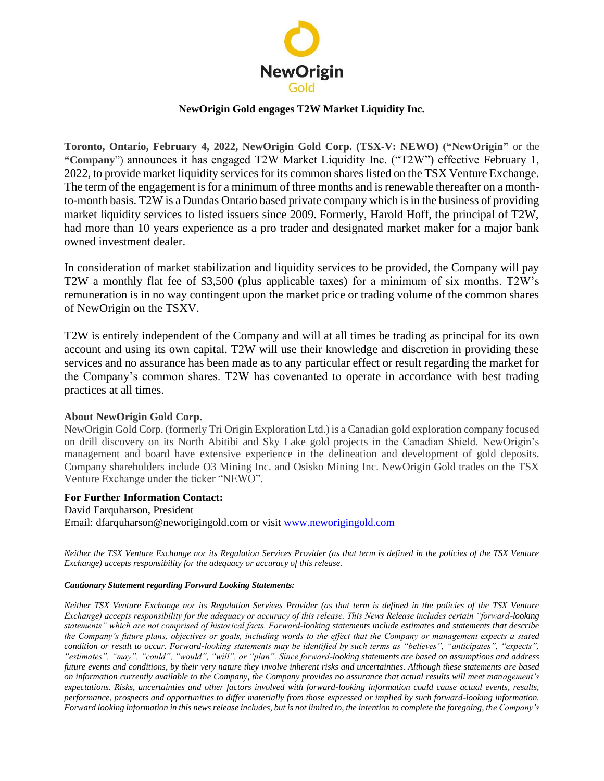

## **NewOrigin Gold engages T2W Market Liquidity Inc.**

**Toronto, Ontario, February 4, 2022, NewOrigin Gold Corp. (TSX-V: NEWO) ("NewOrigin"** or the **"Company**") announces it has engaged T2W Market Liquidity Inc. ("T2W") effective February 1, 2022, to provide market liquidity services for its common shares listed on the TSX Venture Exchange. The term of the engagement is for a minimum of three months and is renewable thereafter on a monthto-month basis. T2W is a Dundas Ontario based private company which is in the business of providing market liquidity services to listed issuers since 2009. Formerly, Harold Hoff, the principal of T2W, had more than 10 years experience as a pro trader and designated market maker for a major bank owned investment dealer.

In consideration of market stabilization and liquidity services to be provided, the Company will pay T2W a monthly flat fee of \$3,500 (plus applicable taxes) for a minimum of six months. T2W's remuneration is in no way contingent upon the market price or trading volume of the common shares of NewOrigin on the TSXV.

T2W is entirely independent of the Company and will at all times be trading as principal for its own account and using its own capital. T2W will use their knowledge and discretion in providing these services and no assurance has been made as to any particular effect or result regarding the market for the Company's common shares. T2W has covenanted to operate in accordance with best trading practices at all times.

## **About NewOrigin Gold Corp.**

NewOrigin Gold Corp. (formerly Tri Origin Exploration Ltd.) is a Canadian gold exploration company focused on drill discovery on its North Abitibi and Sky Lake gold projects in the Canadian Shield. NewOrigin's management and board have extensive experience in the delineation and development of gold deposits. Company shareholders include O3 Mining Inc. and Osisko Mining Inc. NewOrigin Gold trades on the TSX Venture Exchange under the ticker "NEWO".

## **For Further Information Contact:**

David Farquharson, President Email: dfarquharson@neworigingold.com or visit [www.neworigingold.com](http://www.neworigingold.com/)

*Neither the TSX Venture Exchange nor its Regulation Services Provider (as that term is defined in the policies of the TSX Venture Exchange) accepts responsibility for the adequacy or accuracy of this release.*

## *Cautionary Statement regarding Forward Looking Statements:*

*Neither TSX Venture Exchange nor its Regulation Services Provider (as that term is defined in the policies of the TSX Venture Exchange) accepts responsibility for the adequacy or accuracy of this release. This News Release includes certain "forward-looking statements" which are not comprised of historical facts. Forward-looking statements include estimates and statements that describe the Company's future plans, objectives or goals, including words to the effect that the Company or management expects a stated condition or result to occur. Forward-looking statements may be identified by such terms as "believes", "anticipates", "expects", "estimates", "may", "could", "would", "will", or "plan". Since forward-looking statements are based on assumptions and address future events and conditions, by their very nature they involve inherent risks and uncertainties. Although these statements are based on information currently available to the Company, the Company provides no assurance that actual results will meet management's expectations. Risks, uncertainties and other factors involved with forward-looking information could cause actual events, results, performance, prospects and opportunities to differ materially from those expressed or implied by such forward-looking information. Forward looking information in this news release includes, but is not limited to, the intention to complete the foregoing, the Company's*